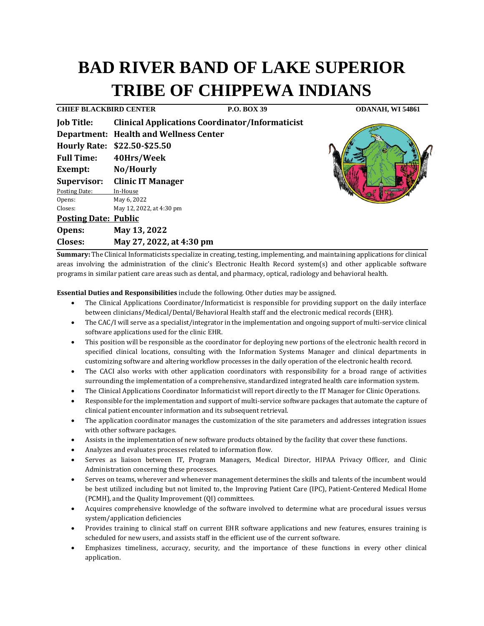# **BAD RIVER BAND OF LAKE SUPERIOR TRIBE OF CHIPPEWA INDIANS**

**CHIEF BLACKBIRD CENTER P.O. BOX 39 ODANAH, WI 54861 Job Title: Clinical Applications Coordinator/Informaticist Department: Health and Wellness Center Hourly Rate: \$22.50-\$25.50 Full Time: 40Hrs/Week Exempt: No/Hourly Supervisor: Clinic IT Manager**  Posting Date: In-House Opens: May 6, 2022 Closes: May 12, 2022, at 4:30 pm **Posting Date: Public Opens: May 13, 2022 Closes: May 27, 2022, at 4:30 pm**



**Summary:** The Clinical Informaticists specialize in creating, testing, implementing, and maintaining applications for clinical areas involving the administration of the clinic's Electronic Health Record system(s) and other applicable software programs in similar patient care areas such as dental, and pharmacy, optical, radiology and behavioral health.

**Essential Duties and Responsibilities** include the following. Other duties may be assigned.

- The Clinical Applications Coordinator/Informaticist is responsible for providing support on the daily interface between clinicians/Medical/Dental/Behavioral Health staff and the electronic medical records (EHR).
- The CAC/I will serve as a specialist/integrator in the implementation and ongoing support of multi-service clinical software applications used for the clinic EHR.
- This position will be responsible as the coordinator for deploying new portions of the electronic health record in specified clinical locations, consulting with the Information Systems Manager and clinical departments in customizing software and altering workflow processes in the daily operation of the electronic health record.
- The CACI also works with other application coordinators with responsibility for a broad range of activities surrounding the implementation of a comprehensive, standardized integrated health care information system.
- The Clinical Applications Coordinator Informaticist will report directly to the IT Manager for Clinic Operations.
- Responsible for the implementation and support of multi-service software packages that automate the capture of clinical patient encounter information and its subsequent retrieval.
- The application coordinator manages the customization of the site parameters and addresses integration issues with other software packages.
- Assists in the implementation of new software products obtained by the facility that cover these functions.
- Analyzes and evaluates processes related to information flow.
- Serves as liaison between IT, Program Managers, Medical Director, HIPAA Privacy Officer, and Clinic Administration concerning these processes.
- Serves on teams, wherever and whenever management determines the skills and talents of the incumbent would be best utilized including but not limited to, the Improving Patient Care (IPC), Patient-Centered Medical Home (PCMH), and the Quality Improvement (QI) committees.
- Acquires comprehensive knowledge of the software involved to determine what are procedural issues versus system/application deficiencies
- Provides training to clinical staff on current EHR software applications and new features, ensures training is scheduled for new users, and assists staff in the efficient use of the current software.
- Emphasizes timeliness, accuracy, security, and the importance of these functions in every other clinical application.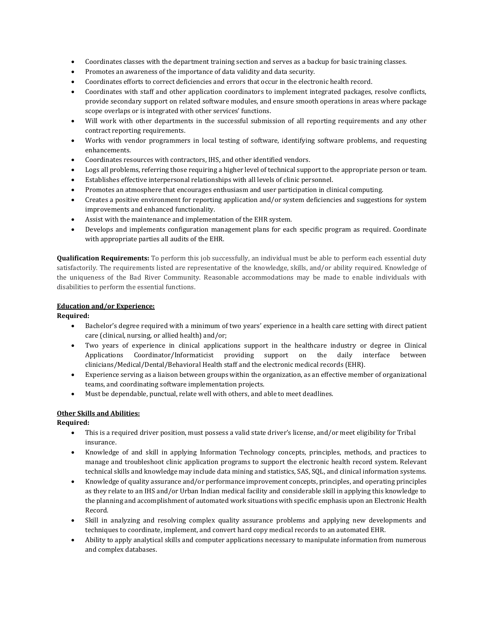- Coordinates classes with the department training section and serves as a backup for basic training classes.
- Promotes an awareness of the importance of data validity and data security.
- Coordinates efforts to correct deficiencies and errors that occur in the electronic health record.
- Coordinates with staff and other application coordinators to implement integrated packages, resolve conflicts, provide secondary support on related software modules, and ensure smooth operations in areas where package scope overlaps or is integrated with other services' functions.
- Will work with other departments in the successful submission of all reporting requirements and any other contract reporting requirements.
- Works with vendor programmers in local testing of software, identifying software problems, and requesting enhancements.
- Coordinates resources with contractors, IHS, and other identified vendors.
- Logs all problems, referring those requiring a higher level of technical support to the appropriate person or team.
- Establishes effective interpersonal relationships with all levels of clinic personnel.
- Promotes an atmosphere that encourages enthusiasm and user participation in clinical computing.
- Creates a positive environment for reporting application and/or system deficiencies and suggestions for system improvements and enhanced functionality.
- Assist with the maintenance and implementation of the EHR system.
- Develops and implements configuration management plans for each specific program as required. Coordinate with appropriate parties all audits of the EHR.

**Qualification Requirements:** To perform this job successfully, an individual must be able to perform each essential duty satisfactorily. The requirements listed are representative of the knowledge, skills, and/or ability required. Knowledge of the uniqueness of the Bad River Community. Reasonable accommodations may be made to enable individuals with disabilities to perform the essential functions.

#### **Education and/or Experience:**

### **Required:**

- Bachelor's degree required with a minimum of two years' experience in a health care setting with direct patient care (clinical, nursing, or allied health) and/or;
- Two years of experience in clinical applications support in the healthcare industry or degree in Clinical Applications Coordinator/Informaticist providing support on the daily interface between clinicians/Medical/Dental/Behavioral Health staff and the electronic medical records (EHR).
- Experience serving as a liaison between groups within the organization, as an effective member of organizational teams, and coordinating software implementation projects.
- Must be dependable, punctual, relate well with others, and able to meet deadlines.

## **Other Skills and Abilities:**

## **Required:**

- This is a required driver position, must possess a valid state driver's license, and/or meet eligibility for Tribal insurance.
- Knowledge of and skill in applying Information Technology concepts, principles, methods, and practices to manage and troubleshoot clinic application programs to support the electronic health record system. Relevant technical skills and knowledge may include data mining and statistics, SAS, SQL, and clinical information systems.
- Knowledge of quality assurance and/or performance improvement concepts, principles, and operating principles as they relate to an IHS and/or Urban Indian medical facility and considerable skill in applying this knowledge to the planning and accomplishment of automated work situations with specific emphasis upon an Electronic Health Record.
- Skill in analyzing and resolving complex quality assurance problems and applying new developments and techniques to coordinate, implement, and convert hard copy medical records to an automated EHR.
- Ability to apply analytical skills and computer applications necessary to manipulate information from numerous and complex databases.